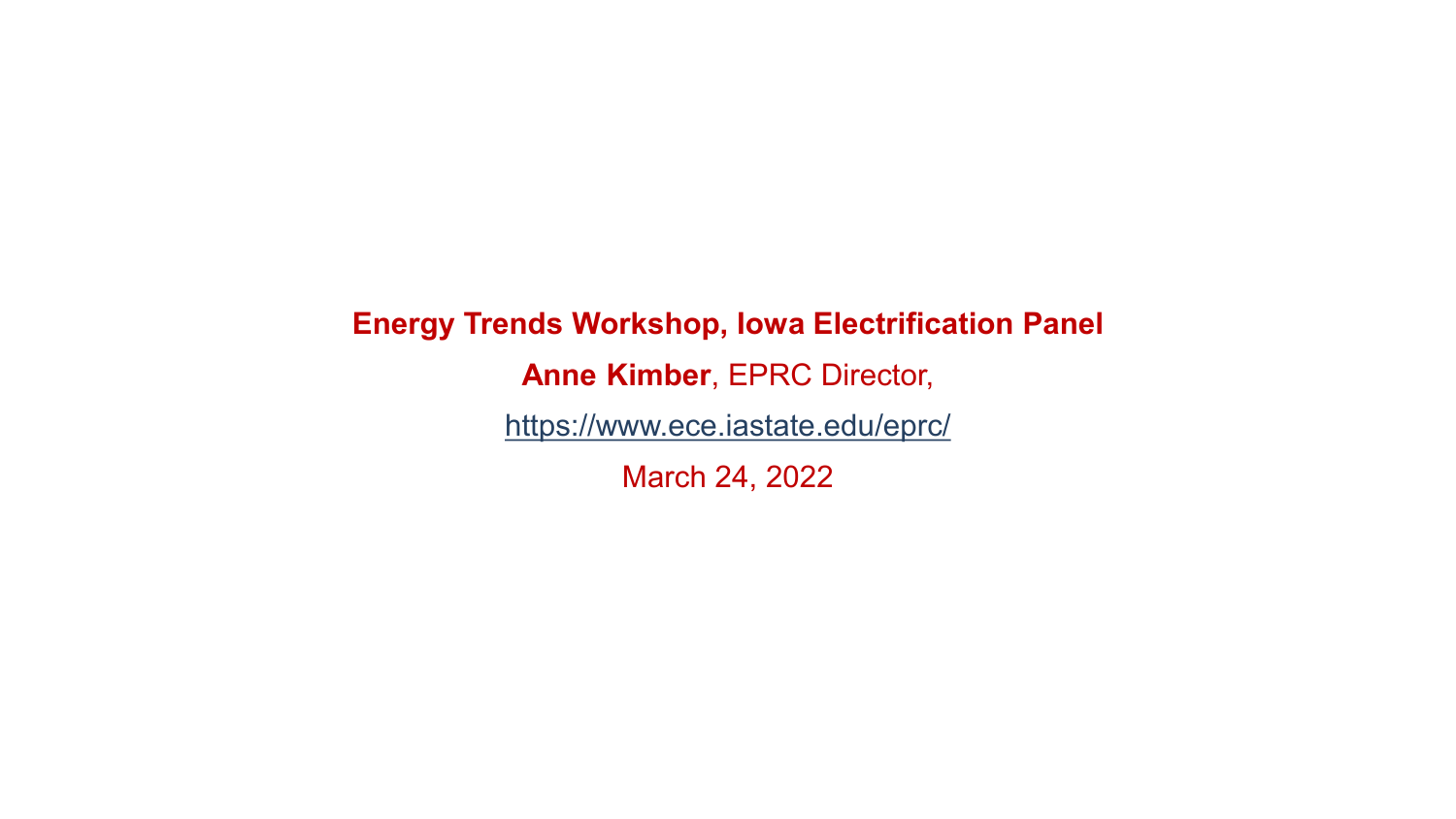**Energy Trends Workshop, Iowa Electrification Panel Anne Kimber**, EPRC Director, <https://www.ece.iastate.edu/eprc/> March 24, 2022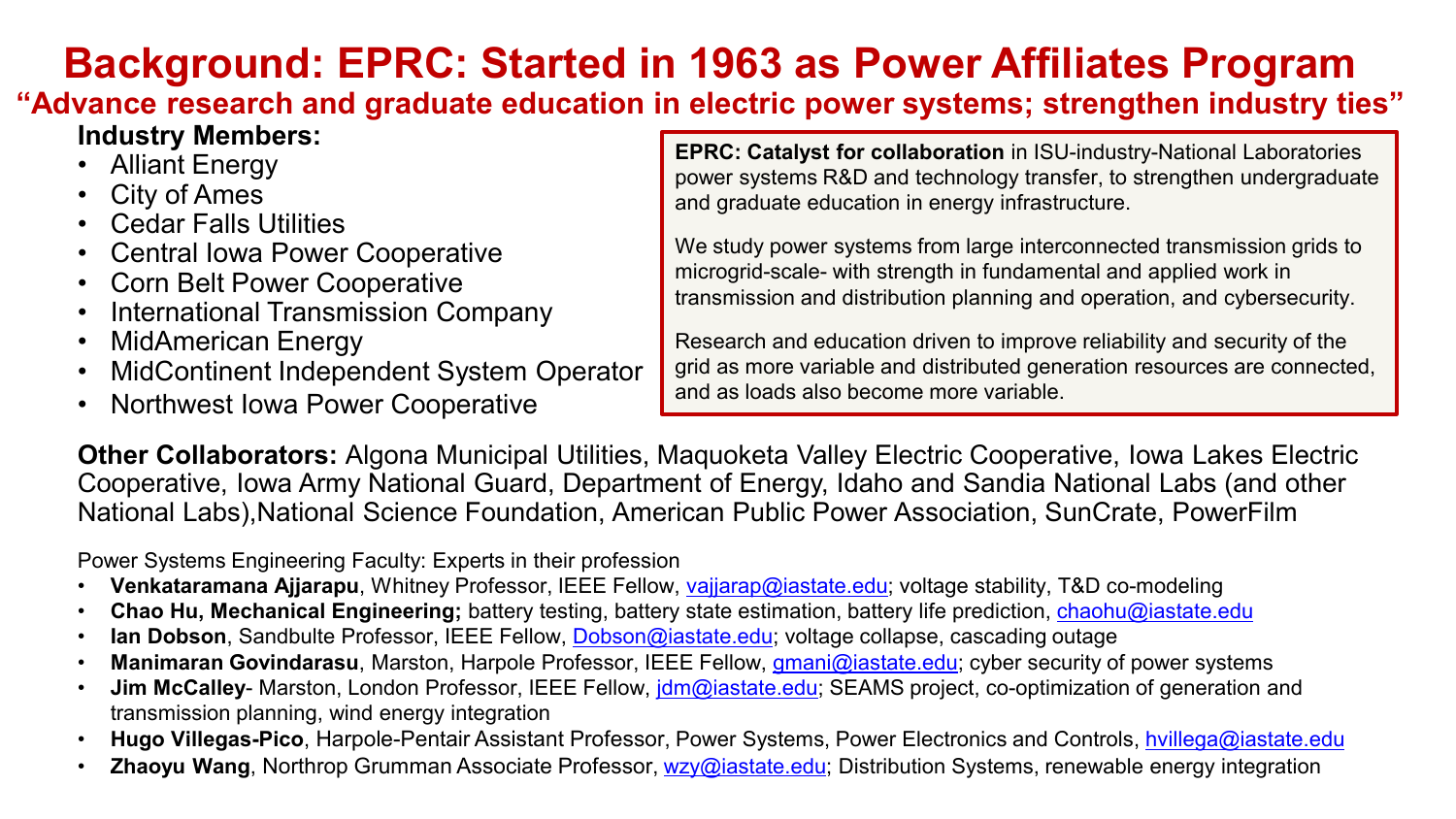## **Background: EPRC: Started in 1963 as Power Affiliates Program**

**"Advance research and graduate education in electric power systems; strengthen industry ties"**

## **Industry Members:**

- Alliant Energy
- City of Ames
- Cedar Falls Utilities
- Central Iowa Power Cooperative
- Corn Belt Power Cooperative
- International Transmission Company
- MidAmerican Energy
- MidContinent Independent System Operator
- Northwest Iowa Power Cooperative

**EPRC: Catalyst for collaboration** in ISU-industry-National Laboratories power systems R&D and technology transfer, to strengthen undergraduate and graduate education in energy infrastructure.

We study power systems from large interconnected transmission grids to microgrid-scale- with strength in fundamental and applied work in transmission and distribution planning and operation, and cybersecurity.

Research and education driven to improve reliability and security of the grid as more variable and distributed generation resources are connected, and as loads also become more variable.

**Other Collaborators:** Algona Municipal Utilities, Maquoketa Valley Electric Cooperative, Iowa Lakes Electric Cooperative, Iowa Army National Guard, Department of Energy, Idaho and Sandia National Labs (and other National Labs),National Science Foundation, American Public Power Association, SunCrate, PowerFilm

Power Systems Engineering Faculty: Experts in their profession

- **Venkataramana Ajjarapu**, Whitney Professor, IEEE Fellow, [vajjarap@iastate.edu](mailto:vajjarap@iastate.edu); voltage stability, T&D co-modeling
- **Chao Hu, Mechanical Engineering;** battery testing, battery state estimation, battery life prediction, [chaohu@iastate.edu](mailto:chaohu@iastate.edu)
- **Ian Dobson**, Sandbulte Professor, IEEE Fellow, [Dobson@iastate.edu](mailto:Dobson@iastate.edu); voltage collapse, cascading outage
- **Manimaran Govindarasu**, Marston, Harpole Professor, IEEE Fellow, [gmani@iastate.edu](mailto:gmani@iastate.edu); cyber security of power systems
- **Jim McCalley-** Marston, London Professor, IEEE Fellow, *jdm@iastate.edu;* SEAMS project, co-optimization of generation and transmission planning, wind energy integration
- **Hugo Villegas-Pico**, Harpole-Pentair Assistant Professor, Power Systems, Power Electronics and Controls, [hvillega@iastate.edu](mailto:hvillega@iastate.edu)
- **Zhaoyu Wang**, Northrop Grumman Associate Professor, [wzy@iastate.edu](mailto:wzy@iastate.edu); Distribution Systems, renewable energy integration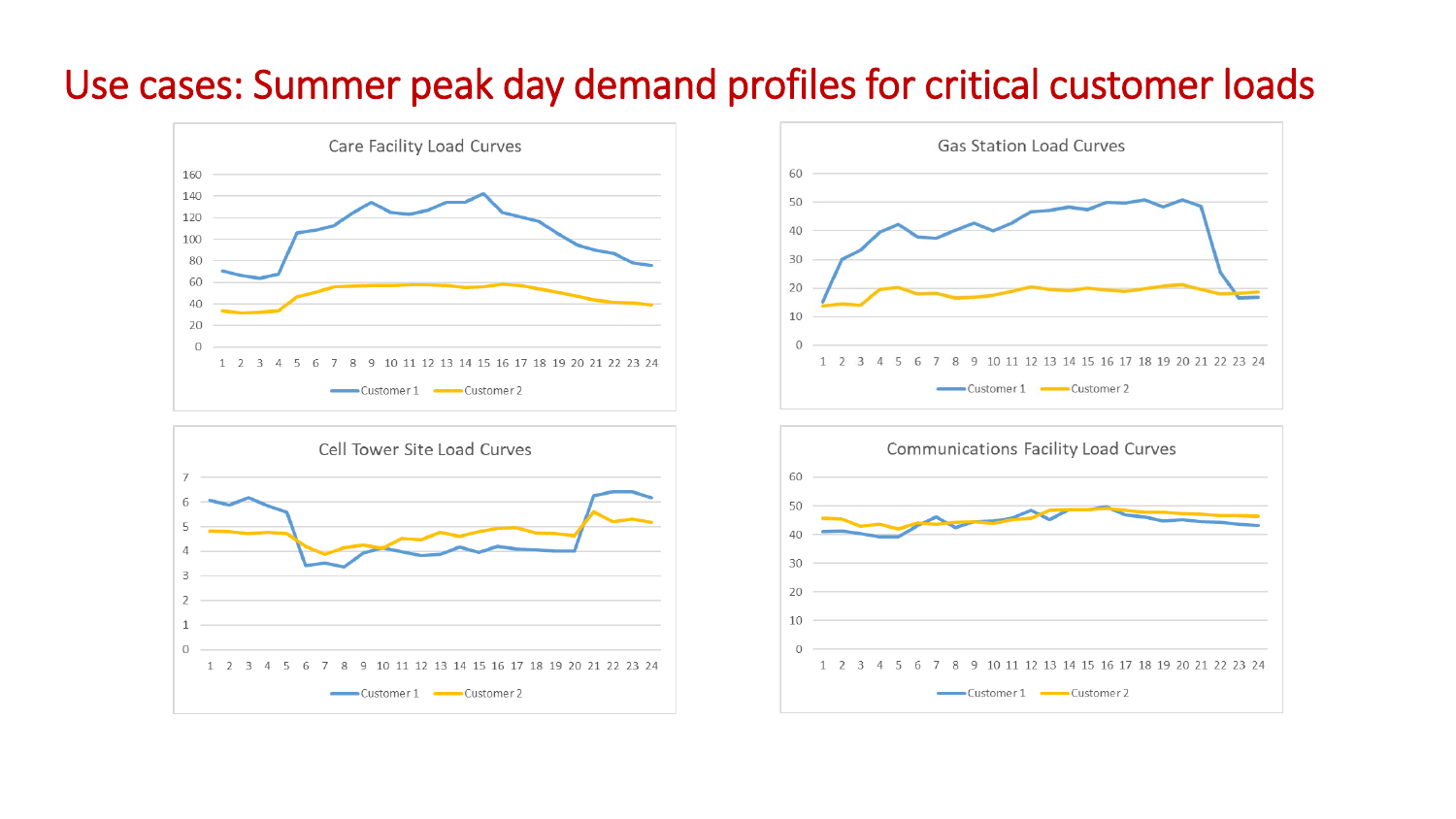## Use cases: Summer peak day demand profiles for critical customer loads